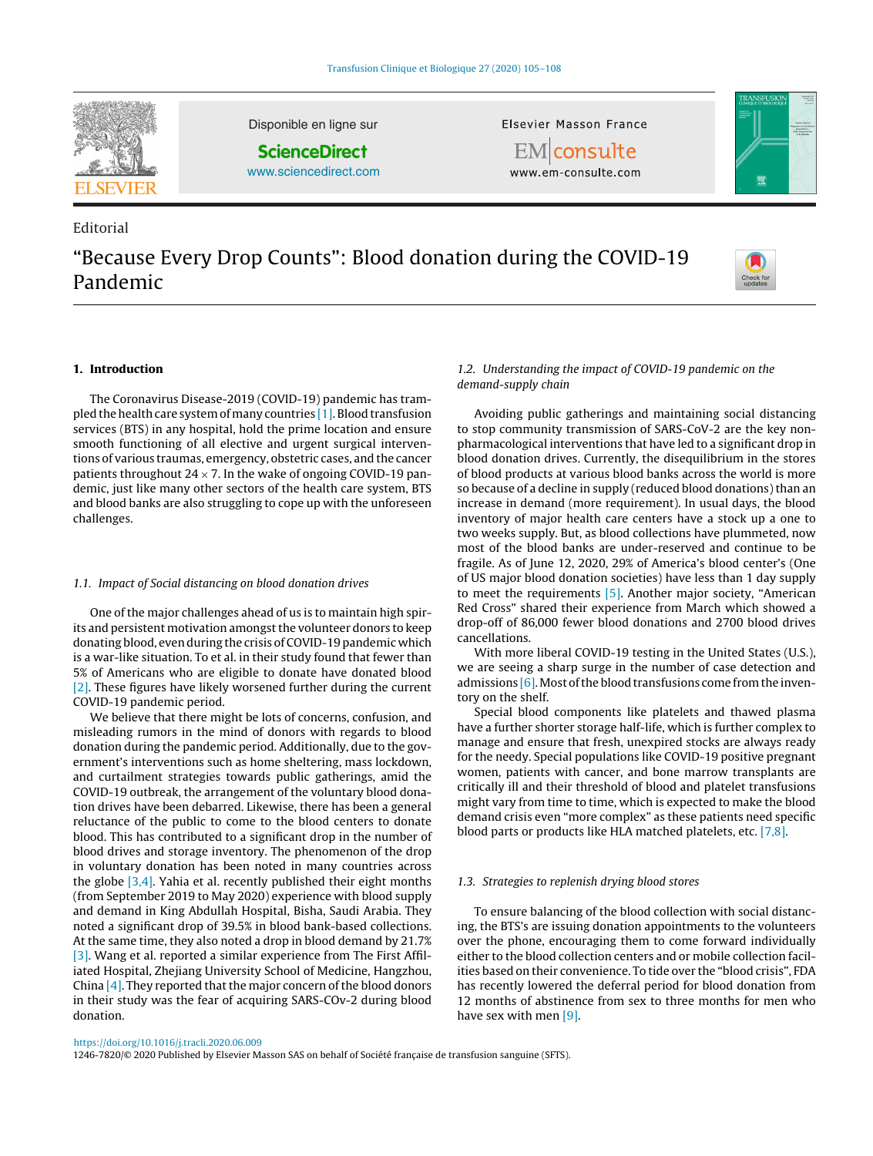

Editorial

Disponible en ligne sur

**ScienceDirect**

[www.sciencedirect.com](http://www.sciencedirect.com/science/journal/12467820)

Elsevier Masson France

**EM** consulte www.em-consulte.com



# "Because Every Drop Counts": Blood donation during the COVID-19 Pandemic



## **1. Introduction**

The Coronavirus Disease-2019 (COVID-19) pandemic has trampled the health care system of many countries  $[1]$ . Blood transfusion services (BTS) in any hospital, hold the prime location and ensure smooth functioning of all elective and urgent surgical interventions of various traumas, emergency, obstetric cases, and the cancer patients throughout  $24 \times 7$ . In the wake of ongoing COVID-19 pandemic, just like many other sectors of the health care system, BTS and blood banks are also struggling to cope up with the unforeseen challenges.

# 1.1. Impact of Social distancing on blood donation drives

One of the major challenges ahead of us is to maintain high spirits and persistent motivation amongst the volunteer donors to keep donating blood, even during the crisis of COVID-19 pandemic which is a war-like situation. To et al. in their study found that fewer than 5% of Americans who are eligible to donate have donated blood [\[2\].](#page-2-0) These figures have likely worsened further during the current COVID-19 pandemic period.

We believe that there might be lots of concerns, confusion, and misleading rumors in the mind of donors with regards to blood donation during the pandemic period. Additionally, due to the government's interventions such as home sheltering, mass lockdown, and curtailment strategies towards public gatherings, amid the COVID-19 outbreak, the arrangement of the voluntary blood donation drives have been debarred. Likewise, there has been a general reluctance of the public to come to the blood centers to donate blood. This has contributed to a significant drop in the number of blood drives and storage inventory. The phenomenon of the drop in voluntary donation has been noted in many countries across the globe [\[3,4\].](#page-2-0) Yahia et al. recently published their eight months (from September 2019 to May 2020) experience with blood supply and demand in King Abdullah Hospital, Bisha, Saudi Arabia. They noted a significant drop of 39.5% in blood bank-based collections. At the same time, they also noted a drop in blood demand by 21.7% [\[3\].](#page-2-0) Wang et al. reported a similar experience from The First Affiliated Hospital, Zhejiang University School of Medicine, Hangzhou, China  $[4]$ . They reported that the major concern of the blood donors in their study was the fear of acquiring SARS-COv-2 during blood donation.

## 1.2. Understanding the impact of COVID-19 pandemic on the demand-supply chain

Avoiding public gatherings and maintaining social distancing to stop community transmission of SARS-CoV-2 are the key nonpharmacological interventions that have led to a significant drop in blood donation drives. Currently, the disequilibrium in the stores of blood products at various blood banks across the world is more so because of a decline in supply (reduced blood donations) than an increase in demand (more requirement). In usual days, the blood inventory of major health care centers have a stock up a one to two weeks supply. But, as blood collections have plummeted, now most of the blood banks are under-reserved and continue to be fragile. As of June 12, 2020, 29% of America's blood center's (One of US major blood donation societies) have less than 1 day supply to meet the requirements [\[5\].](#page-2-0) Another major society, "American Red Cross" shared their experience from March which showed a drop-off of 86,000 fewer blood donations and 2700 blood drives cancellations.

With more liberal COVID-19 testing in the United States (U.S.), we are seeing a sharp surge in the number of case detection and admissions  $[6]$ . Most of the blood transfusions come from the inventory on the shelf.

Special blood components like platelets and thawed plasma have a further shorter storage half-life, which is further complex to manage and ensure that fresh, unexpired stocks are always ready for the needy. Special populations like COVID-19 positive pregnant women, patients with cancer, and bone marrow transplants are critically ill and their threshold of blood and platelet transfusions might vary from time to time, which is expected to make the blood demand crisis even "more complex" as these patients need specific blood parts or products like HLA matched platelets, etc. [\[7,8\].](#page-2-0)

#### 1.3. Strategies to replenish drying blood stores

To ensure balancing of the blood collection with social distancing, the BTS's are issuing donation appointments to the volunteers over the phone, encouraging them to come forward individually either to the blood collection centers and or mobile collection facilities based on their convenience. To tide over the "blood crisis", FDA has recently lowered the deferral period for blood donation from 12 months of abstinence from sex to three months for men who have sex with men [\[9\].](#page-2-0)

1246-7820/© 2020 Published by Elsevier Masson SAS on behalf of Société française de transfusion sanguine (SFTS).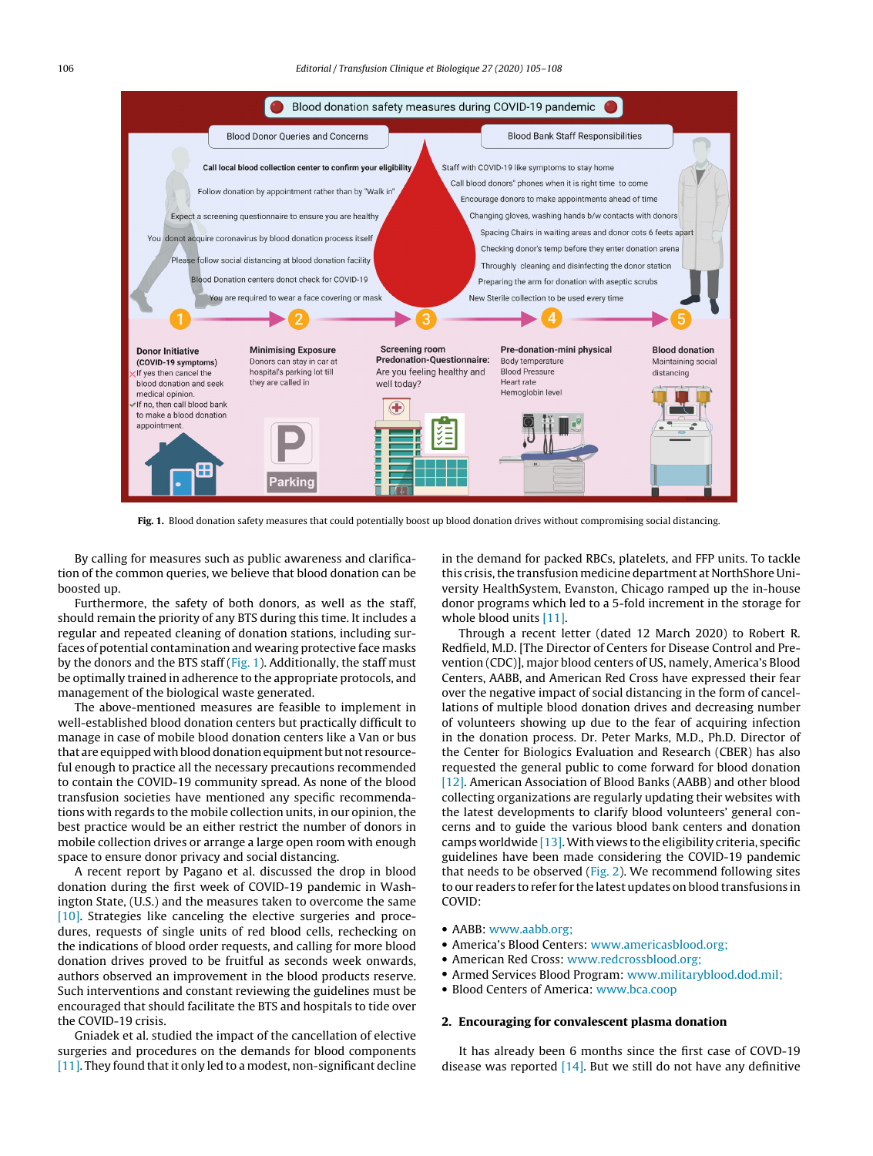

**Fig. 1.** Blood donation safety measures that could potentially boost up blood donation drives without compromising social distancing.

By calling for measures such as public awareness and clarification of the common queries, we believe that blood donation can be boosted up.

Furthermore, the safety of both donors, as well as the staff, should remain the priority of any BTS during this time. It includes a regular and repeated cleaning of donation stations, including surfaces of potential contamination and wearing protective face masks by the donors and the BTS staff (Fig. 1). Additionally, the staff must be optimally trained in adherence to the appropriate protocols, and management of the biological waste generated.

The above-mentioned measures are feasible to implement in well-established blood donation centers but practically difficult to manage in case of mobile blood donation centers like a Van or bus that are equipped with blood donation equipment but not resourceful enough to practice all the necessary precautions recommended to contain the COVID-19 community spread. As none of the blood transfusion societies have mentioned any specific recommendations with regards to the mobile collection units, in our opinion, the best practice would be an either restrict the number of donors in mobile collection drives or arrange a large open room with enough space to ensure donor privacy and social distancing.

A recent report by Pagano et al. discussed the drop in blood donation during the first week of COVID-19 pandemic in Washington State, (U.S.) and the measures taken to overcome the same [\[10\].](#page-2-0) Strategies like canceling the elective surgeries and procedures, requests of single units of red blood cells, rechecking on the indications of blood order requests, and calling for more blood donation drives proved to be fruitful as seconds week onwards, authors observed an improvement in the blood products reserve. Such interventions and constant reviewing the guidelines must be encouraged that should facilitate the BTS and hospitals to tide over the COVID-19 crisis.

Gniadek et al. studied the impact of the cancellation of elective surgeries and procedures on the demands for blood components [\[11\].](#page-2-0) They found that it only led to a modest, non-significant decline

in the demand for packed RBCs, platelets, and FFP units. To tackle this crisis, the transfusion medicine department at NorthShore University HealthSystem, Evanston, Chicago ramped up the in-house donor programs which led to a 5-fold increment in the storage for whole blood units [\[11\].](#page-2-0)

Through a recent letter (dated 12 March 2020) to Robert R. Redfield, M.D. [The Director of Centers for Disease Control and Prevention (CDC)], major blood centers of US, namely, America's Blood Centers, AABB, and American Red Cross have expressed their fear over the negative impact of social distancing in the form of cancellations of multiple blood donation drives and decreasing number of volunteers showing up due to the fear of acquiring infection in the donation process. Dr. Peter Marks, M.D., Ph.D. Director of the Center for Biologics Evaluation and Research (CBER) has also requested the general public to come forward for blood donation [\[12\].](#page-2-0) American Association of Blood Banks (AABB) and other blood collecting organizations are regularly updating their websites with the latest developments to clarify blood volunteers' general concerns and to guide the various blood bank centers and donation camps worldwide  $[13]$ . With views to the eligibility criteria, specific guidelines have been made considering the COVID-19 pandemic that needs to be observed ([Fig.](#page-2-0) 2). We recommend following sites to our readers to refer for the latest updates on blood transfusions in COVID:

- AABB: [www.aabb.org;](http://www.aabb.org;/)
- America's Blood Centers: [www.americasblood.org;](http://www.americasblood.org;/)
- American Red Cross: [www.redcrossblood.org;](http://www.redcrossblood.org;/)
- Armed Services Blood Program: [www.militaryblood.dod.mil;](http://www.militaryblood.dod.mil;/)
- Blood Centers of America: [www.bca.coop](http://www.bca.coop/)

# **2. Encouraging for convalescent plasma donation**

It has already been 6 months since the first case of COVD-19 disease was reported  $[14]$ . But we still do not have any definitive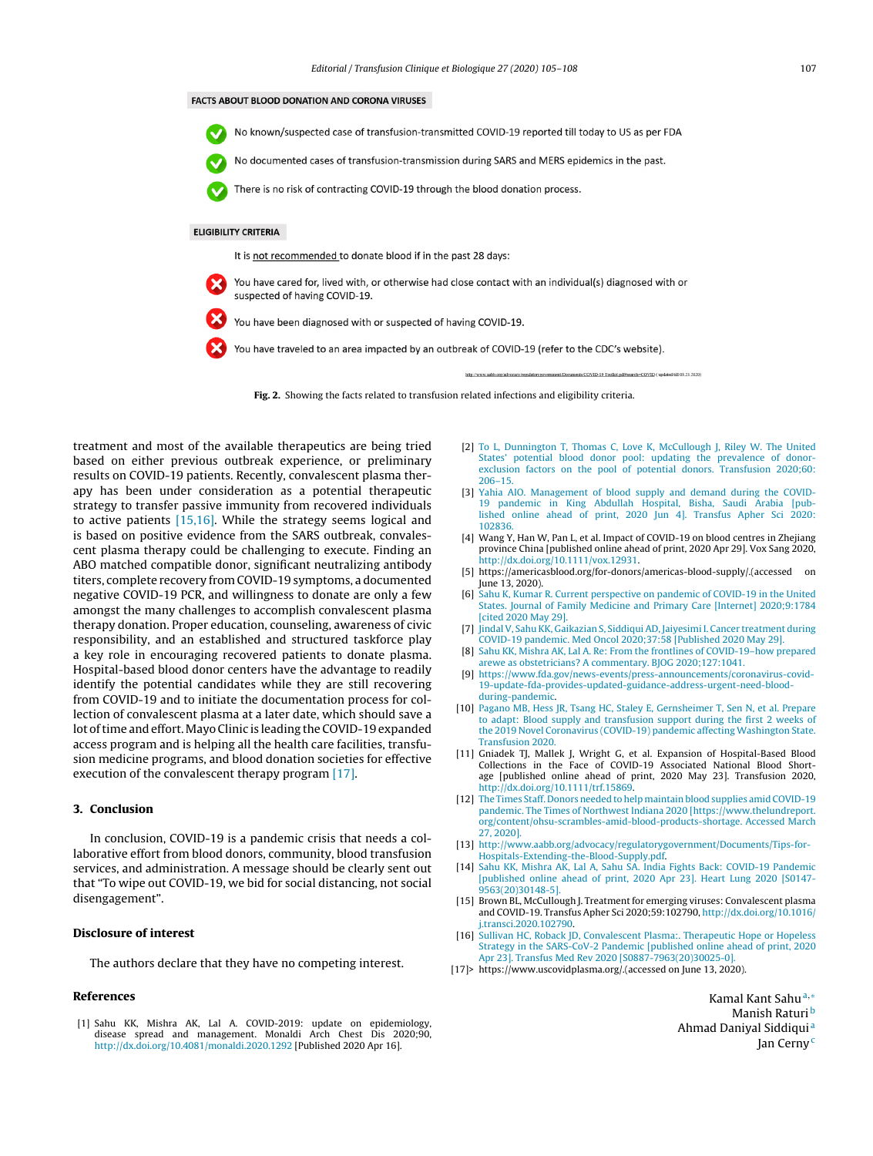#### <span id="page-2-0"></span>**FACTS ABOUT BLOOD DONATION AND CORONA VIRUSES**



No documented cases of transfusion-transmission during SARS and MERS epidemics in the past.

There is no risk of contracting COVID-19 through the blood donation process.

#### **ELIGIBILITY CRITERIA**

It is not recommended to donate blood if in the past 28 days:

You have cared for, lived with, or otherwise had close contact with an individual(s) diagnosed with or suspected of having COVID-19.

You have been diagnosed with or suspected of having COVID-19.

You have traveled to an area impacted by an outbreak of COVID-19 (refer to the CDC's website).



treatment and most of the available therapeutics are being tried based on either previous outbreak experience, or preliminary results on COVID-19 patients. Recently, convalescent plasma therapy has been under consideration as a potential therapeutic strategy to transfer passive immunity from recovered individuals to active patients [15,16]. While the strategy seems logical and is based on positive evidence from the SARS outbreak, convalescent plasma therapy could be challenging to execute. Finding an ABO matched compatible donor, significant neutralizing antibody titers, complete recovery from COVID-19 symptoms, a documented negative COVID-19 PCR, and willingness to donate are only a few amongst the many challenges to accomplish convalescent plasma therapy donation. Proper education, counseling, awareness of civic responsibility, and an established and structured taskforce play a key role in encouraging recovered patients to donate plasma. Hospital-based blood donor centers have the advantage to readily identify the potential candidates while they are still recovering from COVID-19 and to initiate the documentation process for collection of convalescent plasma at a later date, which should save a lot oftime and effort.Mayo Clinic is leading the COVID-19 expanded access program and is helping all the health care facilities, transfusion medicine programs, and blood donation societies for effective execution of the convalescent therapy program [17].

## **3. Conclusion**

In conclusion, COVID-19 is a pandemic crisis that needs a collaborative effort from blood donors, community, blood transfusion services, and administration. A message should be clearly sent out that "To wipe out COVID-19, we bid for social distancing, not social disengagement".

# **Disclosure of interest**

The authors declare that they have no competing interest.

### **References**

[1] Sahu KK, Mishra AK, Lal A. COVID-2019: update on epidemiology, disease spread and management. Monaldi Arch Chest Dis 2020;90, [http://dx.doi.org/10.4081/monaldi.2020.1292](dx.doi.org/10.4081/monaldi.2020.1292) [Published 2020 Apr 16].

- [2] [To](http://refhub.elsevier.com/S1246-7820(20)30084-7/sbref0100) [L,](http://refhub.elsevier.com/S1246-7820(20)30084-7/sbref0100) [Dunnington](http://refhub.elsevier.com/S1246-7820(20)30084-7/sbref0100) [T,](http://refhub.elsevier.com/S1246-7820(20)30084-7/sbref0100) [Thomas](http://refhub.elsevier.com/S1246-7820(20)30084-7/sbref0100) [C,](http://refhub.elsevier.com/S1246-7820(20)30084-7/sbref0100) [Love](http://refhub.elsevier.com/S1246-7820(20)30084-7/sbref0100) [K,](http://refhub.elsevier.com/S1246-7820(20)30084-7/sbref0100) [McCullough](http://refhub.elsevier.com/S1246-7820(20)30084-7/sbref0100) [J,](http://refhub.elsevier.com/S1246-7820(20)30084-7/sbref0100) [Riley](http://refhub.elsevier.com/S1246-7820(20)30084-7/sbref0100) [W.](http://refhub.elsevier.com/S1246-7820(20)30084-7/sbref0100) [The](http://refhub.elsevier.com/S1246-7820(20)30084-7/sbref0100) [United](http://refhub.elsevier.com/S1246-7820(20)30084-7/sbref0100) [States'](http://refhub.elsevier.com/S1246-7820(20)30084-7/sbref0100) [potential](http://refhub.elsevier.com/S1246-7820(20)30084-7/sbref0100) [blood](http://refhub.elsevier.com/S1246-7820(20)30084-7/sbref0100) [donor](http://refhub.elsevier.com/S1246-7820(20)30084-7/sbref0100) [pool:](http://refhub.elsevier.com/S1246-7820(20)30084-7/sbref0100) [updating](http://refhub.elsevier.com/S1246-7820(20)30084-7/sbref0100) [the](http://refhub.elsevier.com/S1246-7820(20)30084-7/sbref0100) [prevalence](http://refhub.elsevier.com/S1246-7820(20)30084-7/sbref0100) [of](http://refhub.elsevier.com/S1246-7820(20)30084-7/sbref0100) [donor-](http://refhub.elsevier.com/S1246-7820(20)30084-7/sbref0100)[exclusion](http://refhub.elsevier.com/S1246-7820(20)30084-7/sbref0100) [factors](http://refhub.elsevier.com/S1246-7820(20)30084-7/sbref0100) [on](http://refhub.elsevier.com/S1246-7820(20)30084-7/sbref0100) [the](http://refhub.elsevier.com/S1246-7820(20)30084-7/sbref0100) [pool](http://refhub.elsevier.com/S1246-7820(20)30084-7/sbref0100) [of](http://refhub.elsevier.com/S1246-7820(20)30084-7/sbref0100) [potential](http://refhub.elsevier.com/S1246-7820(20)30084-7/sbref0100) [donors.](http://refhub.elsevier.com/S1246-7820(20)30084-7/sbref0100) [Transfusion](http://refhub.elsevier.com/S1246-7820(20)30084-7/sbref0100) [2020;60:](http://refhub.elsevier.com/S1246-7820(20)30084-7/sbref0100) [206–15.](http://refhub.elsevier.com/S1246-7820(20)30084-7/sbref0100)
- [3] [Yahia](http://refhub.elsevier.com/S1246-7820(20)30084-7/sbref0105) [AIO.](http://refhub.elsevier.com/S1246-7820(20)30084-7/sbref0105) [Management](http://refhub.elsevier.com/S1246-7820(20)30084-7/sbref0105) [of](http://refhub.elsevier.com/S1246-7820(20)30084-7/sbref0105) [blood](http://refhub.elsevier.com/S1246-7820(20)30084-7/sbref0105) [supply](http://refhub.elsevier.com/S1246-7820(20)30084-7/sbref0105) [and](http://refhub.elsevier.com/S1246-7820(20)30084-7/sbref0105) [demand](http://refhub.elsevier.com/S1246-7820(20)30084-7/sbref0105) [during](http://refhub.elsevier.com/S1246-7820(20)30084-7/sbref0105) [the](http://refhub.elsevier.com/S1246-7820(20)30084-7/sbref0105) [COVID-](http://refhub.elsevier.com/S1246-7820(20)30084-7/sbref0105)[19](http://refhub.elsevier.com/S1246-7820(20)30084-7/sbref0105) [pandemic](http://refhub.elsevier.com/S1246-7820(20)30084-7/sbref0105) [in](http://refhub.elsevier.com/S1246-7820(20)30084-7/sbref0105) [King](http://refhub.elsevier.com/S1246-7820(20)30084-7/sbref0105) [Abdullah](http://refhub.elsevier.com/S1246-7820(20)30084-7/sbref0105) [Hospital,](http://refhub.elsevier.com/S1246-7820(20)30084-7/sbref0105) [Bisha,](http://refhub.elsevier.com/S1246-7820(20)30084-7/sbref0105) [Saudi](http://refhub.elsevier.com/S1246-7820(20)30084-7/sbref0105) [Arabia](http://refhub.elsevier.com/S1246-7820(20)30084-7/sbref0105) [\[pub](http://refhub.elsevier.com/S1246-7820(20)30084-7/sbref0105)[lished](http://refhub.elsevier.com/S1246-7820(20)30084-7/sbref0105) [online](http://refhub.elsevier.com/S1246-7820(20)30084-7/sbref0105) [ahead](http://refhub.elsevier.com/S1246-7820(20)30084-7/sbref0105) [of](http://refhub.elsevier.com/S1246-7820(20)30084-7/sbref0105) [print,](http://refhub.elsevier.com/S1246-7820(20)30084-7/sbref0105) [2020](http://refhub.elsevier.com/S1246-7820(20)30084-7/sbref0105) [Jun](http://refhub.elsevier.com/S1246-7820(20)30084-7/sbref0105) [4\].](http://refhub.elsevier.com/S1246-7820(20)30084-7/sbref0105) [Transfus](http://refhub.elsevier.com/S1246-7820(20)30084-7/sbref0105) [Apher](http://refhub.elsevier.com/S1246-7820(20)30084-7/sbref0105) [Sci](http://refhub.elsevier.com/S1246-7820(20)30084-7/sbref0105) [2020:](http://refhub.elsevier.com/S1246-7820(20)30084-7/sbref0105) [102836.](http://refhub.elsevier.com/S1246-7820(20)30084-7/sbref0105)
- [4] Wang Y, Han W, Pan L, et al. Impact of COVID-19 on blood centres in Zhejiang province China [published online ahead of print, 2020 Apr 29]. Vox Sang 2020, [http://dx.doi.org/10.1111/vox.12931.](dx.doi.org/10.1111/vox.12931)
- [5] https://americasblood.org/for-donors/americas-blood-supply/.(accessed on June 13, 2020).
- [6] [Sahu](http://refhub.elsevier.com/S1246-7820(20)30084-7/sbref0120) [K,](http://refhub.elsevier.com/S1246-7820(20)30084-7/sbref0120) [Kumar](http://refhub.elsevier.com/S1246-7820(20)30084-7/sbref0120) [R.](http://refhub.elsevier.com/S1246-7820(20)30084-7/sbref0120) [Current](http://refhub.elsevier.com/S1246-7820(20)30084-7/sbref0120) [perspective](http://refhub.elsevier.com/S1246-7820(20)30084-7/sbref0120) [on](http://refhub.elsevier.com/S1246-7820(20)30084-7/sbref0120) [pandemic](http://refhub.elsevier.com/S1246-7820(20)30084-7/sbref0120) [of](http://refhub.elsevier.com/S1246-7820(20)30084-7/sbref0120) [COVID-19](http://refhub.elsevier.com/S1246-7820(20)30084-7/sbref0120) [in](http://refhub.elsevier.com/S1246-7820(20)30084-7/sbref0120) [the](http://refhub.elsevier.com/S1246-7820(20)30084-7/sbref0120) [United](http://refhub.elsevier.com/S1246-7820(20)30084-7/sbref0120) [States.](http://refhub.elsevier.com/S1246-7820(20)30084-7/sbref0120) [Journal](http://refhub.elsevier.com/S1246-7820(20)30084-7/sbref0120) [of](http://refhub.elsevier.com/S1246-7820(20)30084-7/sbref0120) [Family](http://refhub.elsevier.com/S1246-7820(20)30084-7/sbref0120) [Medicine](http://refhub.elsevier.com/S1246-7820(20)30084-7/sbref0120) [and](http://refhub.elsevier.com/S1246-7820(20)30084-7/sbref0120) [Primary](http://refhub.elsevier.com/S1246-7820(20)30084-7/sbref0120) [Care](http://refhub.elsevier.com/S1246-7820(20)30084-7/sbref0120) [\[Internet\]](http://refhub.elsevier.com/S1246-7820(20)30084-7/sbref0120) [2020;9:1784](http://refhub.elsevier.com/S1246-7820(20)30084-7/sbref0120) [\[cited](http://refhub.elsevier.com/S1246-7820(20)30084-7/sbref0120) [2020](http://refhub.elsevier.com/S1246-7820(20)30084-7/sbref0120) [May](http://refhub.elsevier.com/S1246-7820(20)30084-7/sbref0120) [29\].](http://refhub.elsevier.com/S1246-7820(20)30084-7/sbref0120)
- [7] [Jindal](http://refhub.elsevier.com/S1246-7820(20)30084-7/sbref0125) [V,](http://refhub.elsevier.com/S1246-7820(20)30084-7/sbref0125) [Sahu](http://refhub.elsevier.com/S1246-7820(20)30084-7/sbref0125) [KK,](http://refhub.elsevier.com/S1246-7820(20)30084-7/sbref0125) [Gaikazian](http://refhub.elsevier.com/S1246-7820(20)30084-7/sbref0125) [S,](http://refhub.elsevier.com/S1246-7820(20)30084-7/sbref0125) [Siddiqui](http://refhub.elsevier.com/S1246-7820(20)30084-7/sbref0125) [AD,](http://refhub.elsevier.com/S1246-7820(20)30084-7/sbref0125) [Jaiyesimi](http://refhub.elsevier.com/S1246-7820(20)30084-7/sbref0125) [I.](http://refhub.elsevier.com/S1246-7820(20)30084-7/sbref0125) [Cancer](http://refhub.elsevier.com/S1246-7820(20)30084-7/sbref0125) [treatment](http://refhub.elsevier.com/S1246-7820(20)30084-7/sbref0125) [during](http://refhub.elsevier.com/S1246-7820(20)30084-7/sbref0125) [COVID-19](http://refhub.elsevier.com/S1246-7820(20)30084-7/sbref0125) [pandemic.](http://refhub.elsevier.com/S1246-7820(20)30084-7/sbref0125) [Med](http://refhub.elsevier.com/S1246-7820(20)30084-7/sbref0125) [Oncol](http://refhub.elsevier.com/S1246-7820(20)30084-7/sbref0125) [2020;37:58](http://refhub.elsevier.com/S1246-7820(20)30084-7/sbref0125) [\[Published](http://refhub.elsevier.com/S1246-7820(20)30084-7/sbref0125) [2020](http://refhub.elsevier.com/S1246-7820(20)30084-7/sbref0125) [May](http://refhub.elsevier.com/S1246-7820(20)30084-7/sbref0125) [29\].](http://refhub.elsevier.com/S1246-7820(20)30084-7/sbref0125)
- [8] [Sahu](http://refhub.elsevier.com/S1246-7820(20)30084-7/sbref0130) [KK,](http://refhub.elsevier.com/S1246-7820(20)30084-7/sbref0130) [Mishra](http://refhub.elsevier.com/S1246-7820(20)30084-7/sbref0130) [AK,](http://refhub.elsevier.com/S1246-7820(20)30084-7/sbref0130) [Lal](http://refhub.elsevier.com/S1246-7820(20)30084-7/sbref0130) [A.](http://refhub.elsevier.com/S1246-7820(20)30084-7/sbref0130) [Re:](http://refhub.elsevier.com/S1246-7820(20)30084-7/sbref0130) [From](http://refhub.elsevier.com/S1246-7820(20)30084-7/sbref0130) [the](http://refhub.elsevier.com/S1246-7820(20)30084-7/sbref0130) [frontlines](http://refhub.elsevier.com/S1246-7820(20)30084-7/sbref0130) [of](http://refhub.elsevier.com/S1246-7820(20)30084-7/sbref0130) [COVID-19–how](http://refhub.elsevier.com/S1246-7820(20)30084-7/sbref0130) [prepared](http://refhub.elsevier.com/S1246-7820(20)30084-7/sbref0130) [arewe](http://refhub.elsevier.com/S1246-7820(20)30084-7/sbref0130) [as](http://refhub.elsevier.com/S1246-7820(20)30084-7/sbref0130) [obstetricians?](http://refhub.elsevier.com/S1246-7820(20)30084-7/sbref0130) [A](http://refhub.elsevier.com/S1246-7820(20)30084-7/sbref0130) [commentary.](http://refhub.elsevier.com/S1246-7820(20)30084-7/sbref0130) [BJOG](http://refhub.elsevier.com/S1246-7820(20)30084-7/sbref0130) [2020;127:1041.](http://refhub.elsevier.com/S1246-7820(20)30084-7/sbref0130)
- [9] [https://www.fda.gov/news-events/press-announcements/coronavirus-covid-](https://www.fda.gov/news-events/press-announcements/coronavirus-covid-19-update-fda-provides-updated-guidance-address-urgent-need-blood-during-pandemic)[19-update-fda-provides-updated-guidance-address-urgent-need-blood](https://www.fda.gov/news-events/press-announcements/coronavirus-covid-19-update-fda-provides-updated-guidance-address-urgent-need-blood-during-pandemic)[during-pandemic](https://www.fda.gov/news-events/press-announcements/coronavirus-covid-19-update-fda-provides-updated-guidance-address-urgent-need-blood-during-pandemic).
- [10] [Pagano](http://refhub.elsevier.com/S1246-7820(20)30084-7/sbref0140) [MB,](http://refhub.elsevier.com/S1246-7820(20)30084-7/sbref0140) [Hess](http://refhub.elsevier.com/S1246-7820(20)30084-7/sbref0140) [JR,](http://refhub.elsevier.com/S1246-7820(20)30084-7/sbref0140) [Tsang](http://refhub.elsevier.com/S1246-7820(20)30084-7/sbref0140) [HC,](http://refhub.elsevier.com/S1246-7820(20)30084-7/sbref0140) [Staley](http://refhub.elsevier.com/S1246-7820(20)30084-7/sbref0140) [E,](http://refhub.elsevier.com/S1246-7820(20)30084-7/sbref0140) [Gernsheimer](http://refhub.elsevier.com/S1246-7820(20)30084-7/sbref0140) [T,](http://refhub.elsevier.com/S1246-7820(20)30084-7/sbref0140) [Sen](http://refhub.elsevier.com/S1246-7820(20)30084-7/sbref0140) [N,](http://refhub.elsevier.com/S1246-7820(20)30084-7/sbref0140) [et](http://refhub.elsevier.com/S1246-7820(20)30084-7/sbref0140) [al.](http://refhub.elsevier.com/S1246-7820(20)30084-7/sbref0140) [Prepare](http://refhub.elsevier.com/S1246-7820(20)30084-7/sbref0140) [to](http://refhub.elsevier.com/S1246-7820(20)30084-7/sbref0140) [adapt:](http://refhub.elsevier.com/S1246-7820(20)30084-7/sbref0140) [Blood](http://refhub.elsevier.com/S1246-7820(20)30084-7/sbref0140) [supply](http://refhub.elsevier.com/S1246-7820(20)30084-7/sbref0140) [and](http://refhub.elsevier.com/S1246-7820(20)30084-7/sbref0140) [transfusion](http://refhub.elsevier.com/S1246-7820(20)30084-7/sbref0140) [support](http://refhub.elsevier.com/S1246-7820(20)30084-7/sbref0140) [during](http://refhub.elsevier.com/S1246-7820(20)30084-7/sbref0140) [the](http://refhub.elsevier.com/S1246-7820(20)30084-7/sbref0140) [first](http://refhub.elsevier.com/S1246-7820(20)30084-7/sbref0140) [2](http://refhub.elsevier.com/S1246-7820(20)30084-7/sbref0140) [weeks](http://refhub.elsevier.com/S1246-7820(20)30084-7/sbref0140) [of](http://refhub.elsevier.com/S1246-7820(20)30084-7/sbref0140) [the](http://refhub.elsevier.com/S1246-7820(20)30084-7/sbref0140) [2019](http://refhub.elsevier.com/S1246-7820(20)30084-7/sbref0140) [Novel](http://refhub.elsevier.com/S1246-7820(20)30084-7/sbref0140) [Coronavirus](http://refhub.elsevier.com/S1246-7820(20)30084-7/sbref0140) [\(COVID-19\)](http://refhub.elsevier.com/S1246-7820(20)30084-7/sbref0140) [pandemic](http://refhub.elsevier.com/S1246-7820(20)30084-7/sbref0140) [affecting](http://refhub.elsevier.com/S1246-7820(20)30084-7/sbref0140) [Washington](http://refhub.elsevier.com/S1246-7820(20)30084-7/sbref0140) [State.](http://refhub.elsevier.com/S1246-7820(20)30084-7/sbref0140) [Transfusion](http://refhub.elsevier.com/S1246-7820(20)30084-7/sbref0140) [2020.](http://refhub.elsevier.com/S1246-7820(20)30084-7/sbref0140)
- [11] Gniadek TJ, Mallek J, Wright G, et al. Expansion of Hospital-Based Blood Collections in the Face of COVID-19 Associated National Blood Shortage [published online ahead of print, 2020 May 23]. Transfusion 2020, [http://dx.doi.org/10.1111/trf.15869](dx.doi.org/10.1111/trf.15869).
- [12] [The](http://refhub.elsevier.com/S1246-7820(20)30084-7/sbref0150) [Times](http://refhub.elsevier.com/S1246-7820(20)30084-7/sbref0150) [Staff.](http://refhub.elsevier.com/S1246-7820(20)30084-7/sbref0150) [Donors](http://refhub.elsevier.com/S1246-7820(20)30084-7/sbref0150) [needed](http://refhub.elsevier.com/S1246-7820(20)30084-7/sbref0150) [to](http://refhub.elsevier.com/S1246-7820(20)30084-7/sbref0150) [help](http://refhub.elsevier.com/S1246-7820(20)30084-7/sbref0150) [maintain](http://refhub.elsevier.com/S1246-7820(20)30084-7/sbref0150) [blood](http://refhub.elsevier.com/S1246-7820(20)30084-7/sbref0150) [supplies](http://refhub.elsevier.com/S1246-7820(20)30084-7/sbref0150) [amid](http://refhub.elsevier.com/S1246-7820(20)30084-7/sbref0150) [COVID-19](http://refhub.elsevier.com/S1246-7820(20)30084-7/sbref0150) [pandemic.](http://refhub.elsevier.com/S1246-7820(20)30084-7/sbref0150) [The](http://refhub.elsevier.com/S1246-7820(20)30084-7/sbref0150) [Times](http://refhub.elsevier.com/S1246-7820(20)30084-7/sbref0150) [of](http://refhub.elsevier.com/S1246-7820(20)30084-7/sbref0150) [Northwest](http://refhub.elsevier.com/S1246-7820(20)30084-7/sbref0150) [Indiana](http://refhub.elsevier.com/S1246-7820(20)30084-7/sbref0150) [2020](http://refhub.elsevier.com/S1246-7820(20)30084-7/sbref0150) [\[https://www.thelundreport.](http://refhub.elsevier.com/S1246-7820(20)30084-7/sbref0150) [org/content/ohsu-scrambles-amid-blood-products-shortage.](http://refhub.elsevier.com/S1246-7820(20)30084-7/sbref0150) [Accessed](http://refhub.elsevier.com/S1246-7820(20)30084-7/sbref0150) [March](http://refhub.elsevier.com/S1246-7820(20)30084-7/sbref0150) [27,](http://refhub.elsevier.com/S1246-7820(20)30084-7/sbref0150) [2020\].](http://refhub.elsevier.com/S1246-7820(20)30084-7/sbref0150)
- [13] [http://www.aabb.org/advocacy/regulatorygovernment/Documents/Tips-for-](http://www.aabb.org/advocacy/regulatorygovernment/Documents/Tips-for-Hospitals-Extending-the-Blood-Supply.pdf)[Hospitals-Extending-the-Blood-Supply.pdf.](http://www.aabb.org/advocacy/regulatorygovernment/Documents/Tips-for-Hospitals-Extending-the-Blood-Supply.pdf)
- [14] [Sahu](http://refhub.elsevier.com/S1246-7820(20)30084-7/sbref0160) [KK,](http://refhub.elsevier.com/S1246-7820(20)30084-7/sbref0160) [Mishra](http://refhub.elsevier.com/S1246-7820(20)30084-7/sbref0160) [AK,](http://refhub.elsevier.com/S1246-7820(20)30084-7/sbref0160) [Lal](http://refhub.elsevier.com/S1246-7820(20)30084-7/sbref0160) [A,](http://refhub.elsevier.com/S1246-7820(20)30084-7/sbref0160) [Sahu](http://refhub.elsevier.com/S1246-7820(20)30084-7/sbref0160) [SA.](http://refhub.elsevier.com/S1246-7820(20)30084-7/sbref0160) [India](http://refhub.elsevier.com/S1246-7820(20)30084-7/sbref0160) [Fights](http://refhub.elsevier.com/S1246-7820(20)30084-7/sbref0160) [Back:](http://refhub.elsevier.com/S1246-7820(20)30084-7/sbref0160) [COVID-19](http://refhub.elsevier.com/S1246-7820(20)30084-7/sbref0160) [Pandemic](http://refhub.elsevier.com/S1246-7820(20)30084-7/sbref0160) [\[published](http://refhub.elsevier.com/S1246-7820(20)30084-7/sbref0160) [online](http://refhub.elsevier.com/S1246-7820(20)30084-7/sbref0160) [ahead](http://refhub.elsevier.com/S1246-7820(20)30084-7/sbref0160) [of](http://refhub.elsevier.com/S1246-7820(20)30084-7/sbref0160) [print,](http://refhub.elsevier.com/S1246-7820(20)30084-7/sbref0160) [2020](http://refhub.elsevier.com/S1246-7820(20)30084-7/sbref0160) [Apr](http://refhub.elsevier.com/S1246-7820(20)30084-7/sbref0160) [23\].](http://refhub.elsevier.com/S1246-7820(20)30084-7/sbref0160) [Heart](http://refhub.elsevier.com/S1246-7820(20)30084-7/sbref0160) [Lung](http://refhub.elsevier.com/S1246-7820(20)30084-7/sbref0160) [2020](http://refhub.elsevier.com/S1246-7820(20)30084-7/sbref0160) [\[S0147-](http://refhub.elsevier.com/S1246-7820(20)30084-7/sbref0160) [9563\(20\)30148-5\].](http://refhub.elsevier.com/S1246-7820(20)30084-7/sbref0160)
- [15] Brown BL, McCullough J. Treatment for emerging viruses: Convalescent plasma and COVID-19. Transfus Apher Sci 2020;59:102790, [http://dx.doi.org/10.1016/](dx.doi.org/10.1016/j.transci.2020.102790) [j.transci.2020.102790](dx.doi.org/10.1016/j.transci.2020.102790).
- [16] [Sullivan](http://refhub.elsevier.com/S1246-7820(20)30084-7/sbref0170) [HC,](http://refhub.elsevier.com/S1246-7820(20)30084-7/sbref0170) [Roback](http://refhub.elsevier.com/S1246-7820(20)30084-7/sbref0170) [JD,](http://refhub.elsevier.com/S1246-7820(20)30084-7/sbref0170) [Convalescent](http://refhub.elsevier.com/S1246-7820(20)30084-7/sbref0170) [Plasma:.](http://refhub.elsevier.com/S1246-7820(20)30084-7/sbref0170) [Therapeutic](http://refhub.elsevier.com/S1246-7820(20)30084-7/sbref0170) [Hope](http://refhub.elsevier.com/S1246-7820(20)30084-7/sbref0170) [or](http://refhub.elsevier.com/S1246-7820(20)30084-7/sbref0170) [Hopeless](http://refhub.elsevier.com/S1246-7820(20)30084-7/sbref0170) [Strategy](http://refhub.elsevier.com/S1246-7820(20)30084-7/sbref0170) [in](http://refhub.elsevier.com/S1246-7820(20)30084-7/sbref0170) [the](http://refhub.elsevier.com/S1246-7820(20)30084-7/sbref0170) [SARS-CoV-2](http://refhub.elsevier.com/S1246-7820(20)30084-7/sbref0170) [Pandemic](http://refhub.elsevier.com/S1246-7820(20)30084-7/sbref0170) [\[published](http://refhub.elsevier.com/S1246-7820(20)30084-7/sbref0170) [online](http://refhub.elsevier.com/S1246-7820(20)30084-7/sbref0170) [ahead](http://refhub.elsevier.com/S1246-7820(20)30084-7/sbref0170) [of](http://refhub.elsevier.com/S1246-7820(20)30084-7/sbref0170) [print,](http://refhub.elsevier.com/S1246-7820(20)30084-7/sbref0170) [2020](http://refhub.elsevier.com/S1246-7820(20)30084-7/sbref0170) [Apr](http://refhub.elsevier.com/S1246-7820(20)30084-7/sbref0170) [23\].](http://refhub.elsevier.com/S1246-7820(20)30084-7/sbref0170) [Transfus](http://refhub.elsevier.com/S1246-7820(20)30084-7/sbref0170) [Med](http://refhub.elsevier.com/S1246-7820(20)30084-7/sbref0170) [Rev](http://refhub.elsevier.com/S1246-7820(20)30084-7/sbref0170) [2020](http://refhub.elsevier.com/S1246-7820(20)30084-7/sbref0170) [\[S0887-7963\(20\)30025-0\].](http://refhub.elsevier.com/S1246-7820(20)30084-7/sbref0170)
- [17]> https://www.uscovidplasma.org/.(accessed on June 13, 2020).

K[a](#page-3-0)mal Kant Sahu<sup>a,</sup>\* Manish Raturi<sup>[b](#page-3-0)</sup> Ahmad Daniyal Siddiqui [a](#page-3-0) Jan Cerny<sup>[c](#page-3-0)</sup>